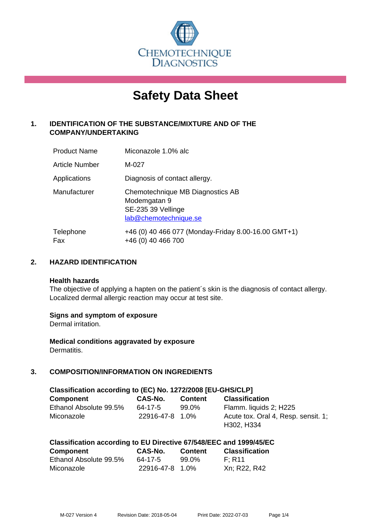

# **Safety Data Sheet**

## **1. IDENTIFICATION OF THE SUBSTANCE/MIXTURE AND OF THE COMPANY/UNDERTAKING**

| <b>Product Name</b> | Miconazole 1.0% alc                                                                             |
|---------------------|-------------------------------------------------------------------------------------------------|
| Article Number      | M-027                                                                                           |
| Applications        | Diagnosis of contact allergy.                                                                   |
| Manufacturer        | Chemotechnique MB Diagnostics AB<br>Modemgatan 9<br>SE-235 39 Vellinge<br>lab@chemotechnique.se |
| Telephone<br>Fax    | +46 (0) 40 466 077 (Monday-Friday 8.00-16.00 GMT+1)<br>+46 (0) 40 466 700                       |

#### **2. HAZARD IDENTIFICATION**

#### **Health hazards**

The objective of applying a hapten on the patient's skin is the diagnosis of contact allergy. Localized dermal allergic reaction may occur at test site.

#### **Signs and symptom of exposure**

Dermal irritation.

**Medical conditions aggravated by exposure** Dermatitis.

## **3. COMPOSITION/INFORMATION ON INGREDIENTS**

| Classification according to (EC) No. 1272/2008 [EU-GHS/CLP] |                 |                |                                     |
|-------------------------------------------------------------|-----------------|----------------|-------------------------------------|
| <b>Component</b>                                            | CAS-No.         | <b>Content</b> | <b>Classification</b>               |
| Ethanol Absolute 99.5%                                      | 64-17-5         | 99.0%          | Flamm. liquids 2; H225              |
| Miconazole                                                  | 22916-47-8 1.0% |                | Acute tox. Oral 4, Resp. sensit. 1; |
|                                                             |                 |                | H302, H334                          |

| Classification according to EU Directive 67/548/EEC and 1999/45/EC |         |                |                       |
|--------------------------------------------------------------------|---------|----------------|-----------------------|
| <b>Component</b>                                                   | CAS-No. | <b>Content</b> | <b>Classification</b> |

| Component              | <b>UAJ-IVU.</b> | <b>CONTENT</b> | <b>UIDUILLES</b> |
|------------------------|-----------------|----------------|------------------|
| Ethanol Absolute 99.5% | 64-17-5         | 99.0%          | F: R11           |
| Miconazole             | 22916-47-8 1.0% |                | Xn; R22, R42     |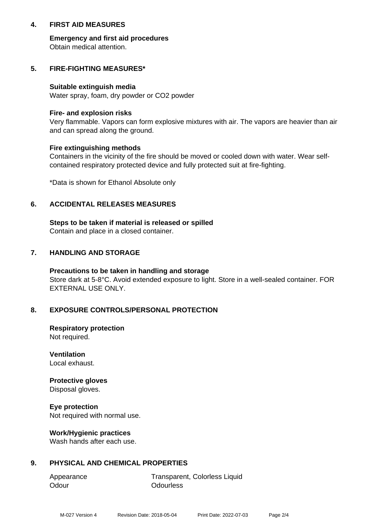#### **4. FIRST AID MEASURES**

**Emergency and first aid procedures** Obtain medical attention.

#### **5. FIRE-FIGHTING MEASURES\***

#### **Suitable extinguish media**

Water spray, foam, dry powder or CO2 powder

#### **Fire- and explosion risks**

Very flammable. Vapors can form explosive mixtures with air. The vapors are heavier than air and can spread along the ground.

#### **Fire extinguishing methods**

Containers in the vicinity of the fire should be moved or cooled down with water. Wear selfcontained respiratory protected device and fully protected suit at fire-fighting.

\*Data is shown for Ethanol Absolute only

## **6. ACCIDENTAL RELEASES MEASURES**

**Steps to be taken if material is released or spilled** Contain and place in a closed container.

## **7. HANDLING AND STORAGE**

**Precautions to be taken in handling and storage** Store dark at 5-8°C. Avoid extended exposure to light. Store in a well-sealed container. FOR EXTERNAL USE ONLY.

#### **8. EXPOSURE CONTROLS/PERSONAL PROTECTION**

**Respiratory protection** Not required.

**Ventilation** Local exhaust.

**Protective gloves** Disposal gloves.

**Eye protection** Not required with normal use.

#### **Work/Hygienic practices**

Wash hands after each use.

#### **9. PHYSICAL AND CHEMICAL PROPERTIES**

Odour **Odourless** 

Appearance Transparent, Colorless Liquid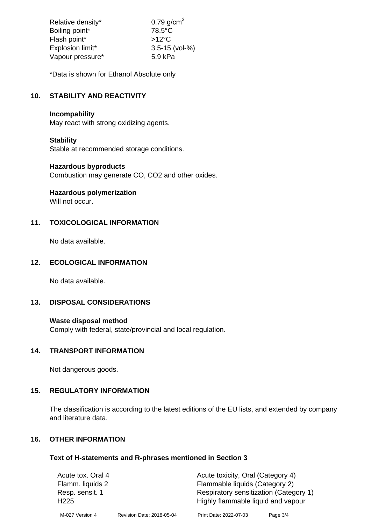| Relative density* | $0.79$ g/cm <sup>3</sup> |
|-------------------|--------------------------|
| Boiling point*    | $78.5^{\circ}$ C         |
| Flash point*      | $>12^{\circ}$ C          |
| Explosion limit*  | $3.5 - 15$ (vol-%)       |
| Vapour pressure*  | 5.9 kPa                  |

\*Data is shown for Ethanol Absolute only

## **10. STABILITY AND REACTIVITY**

#### **Incompability**

May react with strong oxidizing agents.

## **Stability**

Stable at recommended storage conditions.

#### **Hazardous byproducts**

Combustion may generate CO, CO2 and other oxides.

**Hazardous polymerization**

Will not occur.

## **11. TOXICOLOGICAL INFORMATION**

No data available.

## **12. ECOLOGICAL INFORMATION**

No data available.

#### **13. DISPOSAL CONSIDERATIONS**

#### **Waste disposal method**

Comply with federal, state/provincial and local regulation.

## **14. TRANSPORT INFORMATION**

Not dangerous goods.

# **15. REGULATORY INFORMATION**

The classification is according to the latest editions of the EU lists, and extended by company and literature data.

#### **16. OTHER INFORMATION**

#### **Text of H-statements and R-phrases mentioned in Section 3**

| Acute tox. Oral 4                   |                           | Acute toxicity, Oral (Category 4)                                            |          |
|-------------------------------------|---------------------------|------------------------------------------------------------------------------|----------|
| Flamm. liquids 2                    |                           | Flammable liquids (Category 2)                                               |          |
| Resp. sensit. 1<br>H <sub>225</sub> |                           | Respiratory sensitization (Category 1)<br>Highly flammable liquid and vapour |          |
| M-027 Version 4                     | Revision Date: 2018-05-04 | Print Date: 2022-07-03                                                       | Page 3/4 |